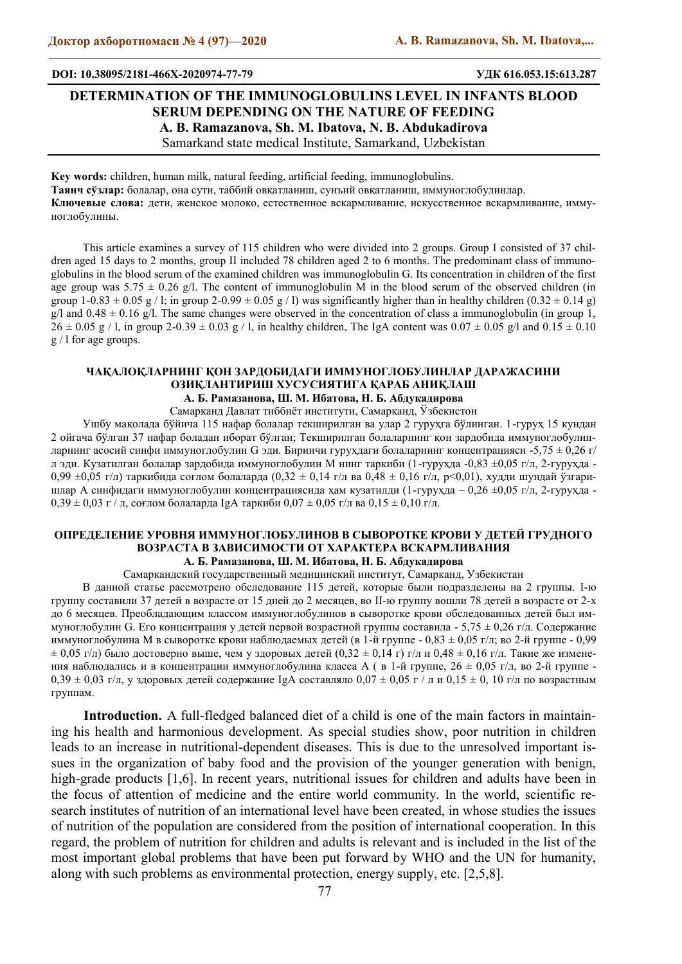#### **DOI: 10.38095/2181-466X-2020974-77-79 УДК 616.053.15:613.287**

# **DETERMINATION OF THE IMMUNOGLOBULINS LEVEL IN INFANTS BLOOD SERUM DEPENDING ON THE NATURE OF FEEDING A. B. Ramazanova, Sh. M. Ibatova, N. B. Abdukadirova** Samarkand state medical Institute, Samarkand, Uzbekistan

**Key words:** children, human milk, natural feeding, artificial feeding, immunoglobulins. **Таянч сўзлар:** болалар, oна сути, таббий овқатланиш, сунъий овқатланиш, иммуноглобулинлар. **Ключевые слова:** дети, женское молоко, естественное вскармливание, искусственное вскармливание, иммуноглобулины.

This article examines a survey of 115 children who were divided into 2 groups. Group I consisted of 37 children aged 15 days to 2 months, group II included 78 children aged 2 to 6 months. The predominant class of immunoglobulins in the blood serum of the examined children was immunoglobulin G. Its concentration in children of the first age group was  $5.75 \pm 0.26$  g/l. The content of immunoglobulin M in the blood serum of the observed children (in group  $1-0.83 \pm 0.05$  g / l; in group  $2-0.99 \pm 0.05$  g / l) was significantly higher than in healthy children  $(0.32 \pm 0.14$  g) g/l and  $0.48 \pm 0.16$  g/l. The same changes were observed in the concentration of class a immunoglobulin (in group 1,  $26 \pm 0.05$  g / l, in group 2-0.39  $\pm$  0.03 g / l, in healthy children, The IgA content was  $0.07 \pm 0.05$  g/l and  $0.15 \pm 0.10$ g / l for age groups.

### **ЧАҚАЛОҚЛАРНИНГ ҚОН ЗАРДОБИДАГИ ИММУНОГЛОБУЛИНЛАР ДАРАЖАСИНИ ОЗИҚЛАНТИРИШ ХУСУСИЯТИГА ҚАРАБ АНИҚЛАШ А. Б. Рамазанова, Ш. М. Ибатова, Н. Б. Абдукадирова**

Самарқанд Давлат тиббиѐт институти, Самарқанд, Ўзбекистон

Ушбу мақолада бўйича 115 нафар болалар текширилган ва улар 2 гуруҳга бўлинган. 1-гуруҳ 15 кундан 2 ойгача бўлган 37 нафар боладан иборат бўлган; Текширилган болаларнинг қон зардобида иммуноглобулинларнинг асосий синфи иммуноглобулин G эди. Биринчи гурухдаги болаларнинг концентрацияси -5,75  $\pm$  0,26 г/ л эди. Кузатилган болалар зардобида иммуноглобулин М нинг таркиби (1-гурухда -0,83 ±0,05 г/л, 2-гурухда -0,99  $\pm$ 0,05 г/л) таркибида соғлом болаларда (0,32  $\pm$  0,14 г/л ва 0,48  $\pm$  0,16 г/л, p<0,01), худди шундай ўзгаришлар А синфидаги иммуноглобулин концентрациясида ҳам кузатилди (1-гурухда – 0,26 ±0,05 г/л, 2-гурухда - $0,39 \pm 0,03$  г / л, соғлом болаларда IgA таркиби  $0,07 \pm 0,05$  г/л ва  $0,15 \pm 0,10$  г/л.

# **ОПРЕДЕЛЕНИЕ УРОВНЯ ИММУНОГЛОБУЛИНОВ В СЫВОРОТКЕ КРОВИ У ДЕТЕЙ ГРУДНОГО ВОЗРАСТА В ЗАВИСИМОСТИ ОТ ХАРАКТЕРА ВСКАРМЛИВАНИЯ А. Б. Рамазанова, Ш. М. Ибатова, Н. Б. Абдукадирова**

Самаркандский государственный медицинский институт, Самарканд, Узбекистан

В данной статье рассмотрено обследование 115 детей, которые были подразделены на 2 группы. I-ю группу составили 37 детей в возрасте от 15 дней до 2 месяцев, во II-ю группу вошли 78 детей в возрасте от 2-х до 6 месяцев. Преобладающим классом иммуноглобулинов в сыворотке крови обследованных детей был иммуноглобулин G. Его концентрация у детей первой возрастной группы составила - 5,75 ± 0,26 г/л. Содержание иммуноглобулина М в сыворотке крови наблюдаемых детей (в 1-й группе - 0,83  $\pm$  0,05 г/л; во 2-й группе - 0,99  $\pm$  0,05 г/л) было достоверно выше, чем у здоровых детей (0,32  $\pm$  0,14 г) г/л и 0,48  $\pm$  0,16 г/л. Такие же изменения наблюдались и в концентрации иммуноглобулина класса А ( в 1-й группе, 26 ± 0,05 г/л, во 2-й группе -  $0,39 \pm 0,03$  г/л, у здоровых детей содержание IgA составляло  $0,07 \pm 0,05$  г / л и  $0,15 \pm 0,10$  г/л по возрастным группам.

**Introduction.** A full-fledged balanced diet of a child is one of the main factors in maintaining his health and harmonious development. As special studies show, poor nutrition in children leads to an increase in nutritional-dependent diseases. This is due to the unresolved important issues in the organization of baby food and the provision of the younger generation with benign, high-grade products [1,6]. In recent years, nutritional issues for children and adults have been in the focus of attention of medicine and the entire world community. In the world, scientific research institutes of nutrition of an international level have been created, in whose studies the issues of nutrition of the population are considered from the position of international cooperation. In this regard, the problem of nutrition for children and adults is relevant and is included in the list of the most important global problems that have been put forward by WHO and the UN for humanity, along with such problems as environmental protection, energy supply, etc. [2,5,8].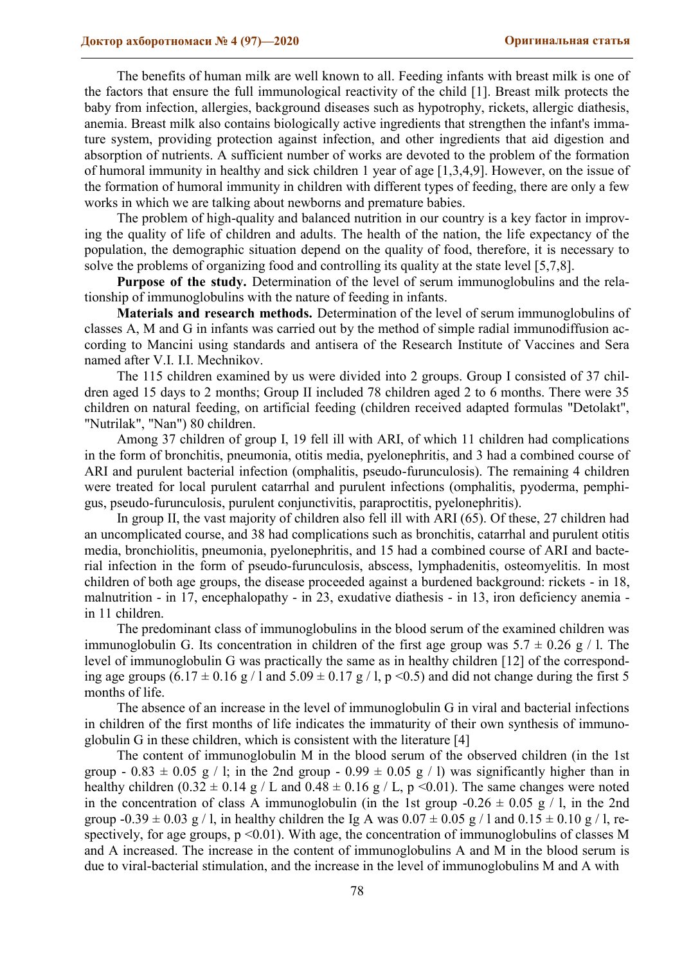The benefits of human milk are well known to all. Feeding infants with breast milk is one of the factors that ensure the full immunological reactivity of the child [1]. Breast milk protects the baby from infection, allergies, background diseases such as hypotrophy, rickets, allergic diathesis, anemia. Breast milk also contains biologically active ingredients that strengthen the infant's immature system, providing protection against infection, and other ingredients that aid digestion and absorption of nutrients. A sufficient number of works are devoted to the problem of the formation of humoral immunity in healthy and sick children 1 year of age [1,3,4,9]. However, on the issue of the formation of humoral immunity in children with different types of feeding, there are only a few works in which we are talking about newborns and premature babies.

The problem of high-quality and balanced nutrition in our country is a key factor in improving the quality of life of children and adults. The health of the nation, the life expectancy of the population, the demographic situation depend on the quality of food, therefore, it is necessary to solve the problems of organizing food and controlling its quality at the state level [5,7,8].

Purpose of the study. Determination of the level of serum immunoglobulins and the relationship of immunoglobulins with the nature of feeding in infants.

**Materials and research methods.** Determination of the level of serum immunoglobulins of classes A, M and G in infants was carried out by the method of simple radial immunodiffusion according to Mancini using standards and antisera of the Research Institute of Vaccines and Sera named after V.I. I.I. Mechnikov.

The 115 children examined by us were divided into 2 groups. Group I consisted of 37 children aged 15 days to 2 months; Group II included 78 children aged 2 to 6 months. There were 35 children on natural feeding, on artificial feeding (children received adapted formulas "Detolakt", "Nutrilak", "Nan") 80 children.

Among 37 children of group I, 19 fell ill with ARI, of which 11 children had complications in the form of bronchitis, pneumonia, otitis media, pyelonephritis, and 3 had a combined course of ARI and purulent bacterial infection (omphalitis, pseudo-furunculosis). The remaining 4 children were treated for local purulent catarrhal and purulent infections (omphalitis, pyoderma, pemphigus, pseudo-furunculosis, purulent conjunctivitis, paraproctitis, pyelonephritis).

In group II, the vast majority of children also fell ill with ARI (65). Of these, 27 children had an uncomplicated course, and 38 had complications such as bronchitis, catarrhal and purulent otitis media, bronchiolitis, pneumonia, pyelonephritis, and 15 had a combined course of ARI and bacterial infection in the form of pseudo-furunculosis, abscess, lymphadenitis, osteomyelitis. In most children of both age groups, the disease proceeded against a burdened background: rickets - in 18, malnutrition - in 17, encephalopathy - in 23, exudative diathesis - in 13, iron deficiency anemia in 11 children.

The predominant class of immunoglobulins in the blood serum of the examined children was immunoglobulin G. Its concentration in children of the first age group was  $5.7 \pm 0.26$  g / l. The level of immunoglobulin G was practically the same as in healthy children [12] of the corresponding age groups  $(6.17 \pm 0.16 \text{ g} / 1 \text{ and } 5.09 \pm 0.17 \text{ g} / 1 \text{, p} < 0.5)$  and did not change during the first 5 months of life.

The absence of an increase in the level of immunoglobulin G in viral and bacterial infections in children of the first months of life indicates the immaturity of their own synthesis of immunoglobulin G in these children, which is consistent with the literature [4]

The content of immunoglobulin M in the blood serum of the observed children (in the 1st group - 0.83  $\pm$  0.05 g / l; in the 2nd group - 0.99  $\pm$  0.05 g / l) was significantly higher than in healthy children  $(0.32 \pm 0.14 \text{ g} / L$  and  $0.48 \pm 0.16 \text{ g} / L$ , p <0.01). The same changes were noted in the concentration of class A immunoglobulin (in the 1st group  $-0.26 \pm 0.05$  g / l, in the 2nd group  $-0.39 \pm 0.03$  g / l, in healthy children the Ig A was  $0.07 \pm 0.05$  g / l and  $0.15 \pm 0.10$  g / l, respectively, for age groups,  $p \le 0.01$ ). With age, the concentration of immunoglobulins of classes M and A increased. The increase in the content of immunoglobulins A and M in the blood serum is due to viral-bacterial stimulation, and the increase in the level of immunoglobulins M and A with